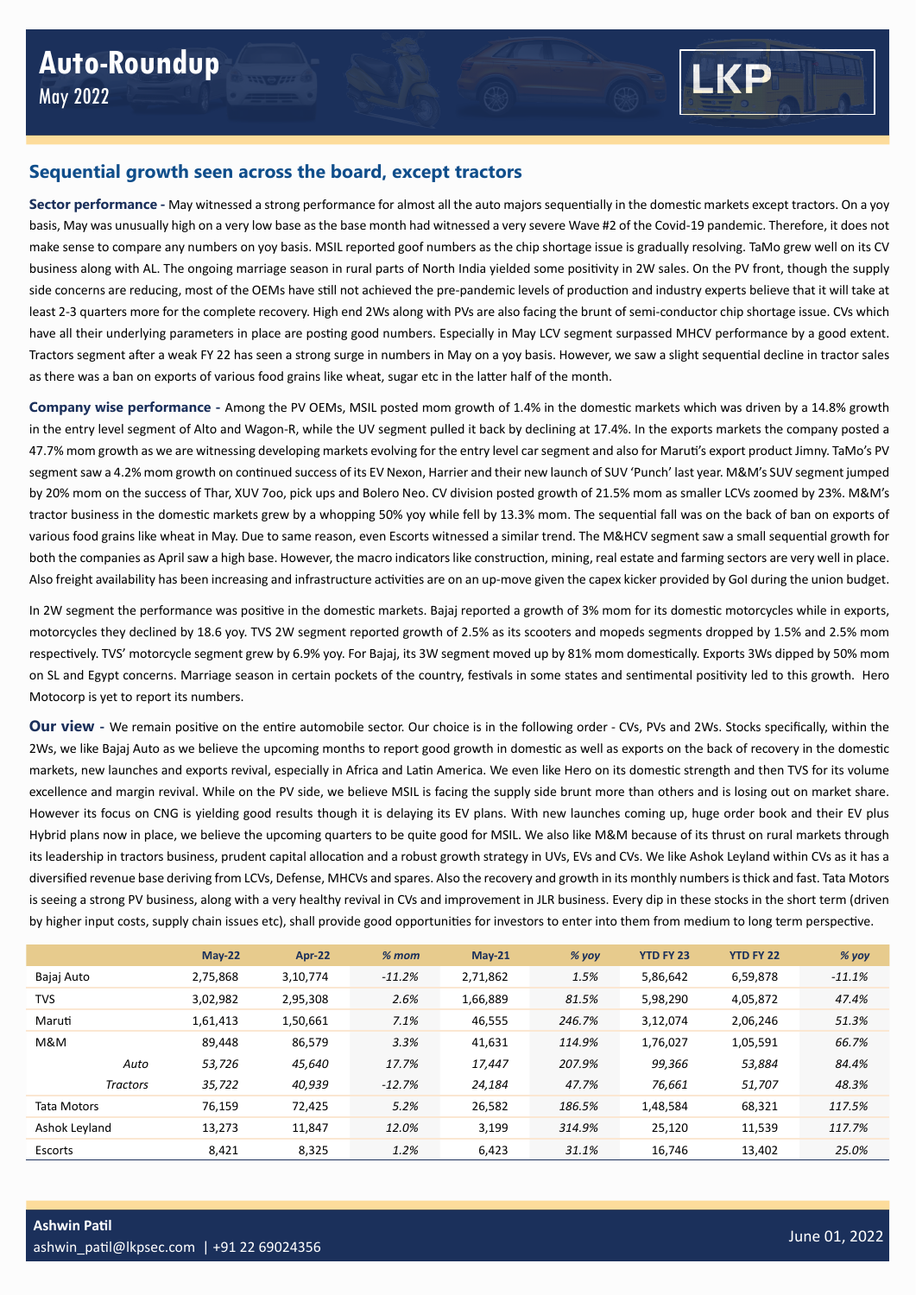

## **Sequential growth seen across the board, except tractors**

**Sector performance -** May witnessed a strong performance for almost all the auto majors sequentially in the domestic markets except tractors. On a yoy basis, May was unusually high on a very low base as the base month had witnessed a very severe Wave #2 of the Covid-19 pandemic. Therefore, it does not make sense to compare any numbers on yoy basis. MSIL reported goof numbers as the chip shortage issue is gradually resolving. TaMo grew well on its CV business along with AL. The ongoing marriage season in rural parts of North India yielded some positivity in 2W sales. On the PV front, though the supply side concerns are reducing, most of the OEMs have still not achieved the pre-pandemic levels of production and industry experts believe that it will take at least 2-3 quarters more for the complete recovery. High end 2Ws along with PVs are also facing the brunt of semi-conductor chip shortage issue. CVs which have all their underlying parameters in place are posting good numbers. Especially in May LCV segment surpassed MHCV performance by a good extent. Tractors segment after a weak FY 22 has seen a strong surge in numbers in May on a yoy basis. However, we saw a slight sequential decline in tractor sales as there was a ban on exports of various food grains like wheat, sugar etc in the latter half of the month.

**Company wise performance -** Among the PV OEMs, MSIL posted mom growth of 1.4% in the domestic markets which was driven by a 14.8% growth in the entry level segment of Alto and Wagon-R, while the UV segment pulled it back by declining at 17.4%. In the exports markets the company posted a 47.7% mom growth as we are witnessing developing markets evolving for the entry level car segment and also for Maruti's export product Jimny. TaMo's PV segment saw a 4.2% mom growth on continued success of its EV Nexon, Harrier and their new launch of SUV 'Punch' last year. M&M's SUV segment jumped by 20% mom on the success of Thar, XUV 7oo, pick ups and Bolero Neo. CV division posted growth of 21.5% mom as smaller LCVs zoomed by 23%. M&M's tractor business in the domestic markets grew by a whopping 50% yoy while fell by 13.3% mom. The sequential fall was on the back of ban on exports of various food grains like wheat in May. Due to same reason, even Escorts witnessed a similar trend. The M&HCV segment saw a small sequential growth for both the companies as April saw a high base. However, the macro indicators like construction, mining, real estate and farming sectors are very well in place. Also freight availability has been increasing and infrastructure activities are on an up-move given the capex kicker provided by GoI during the union budget.

In 2W segment the performance was positive in the domestic markets. Bajaj reported a growth of 3% mom for its domestic motorcycles while in exports, motorcycles they declined by 18.6 yoy. TVS 2W segment reported growth of 2.5% as its scooters and mopeds segments dropped by 1.5% and 2.5% mom respectively. TVS' motorcycle segment grew by 6.9% yoy. For Bajaj, its 3W segment moved up by 81% mom domestically. Exports 3Ws dipped by 50% mom on SL and Egypt concerns. Marriage season in certain pockets of the country, festivals in some states and sentimental positivity led to this growth. Hero Motocorp is yet to report its numbers.

**Our view -** We remain positive on the entire automobile sector. Our choice is in the following order - CVs, PVs and 2Ws. Stocks specifically, within the 2Ws, we like Bajaj Auto as we believe the upcoming months to report good growth in domestic as well as exports on the back of recovery in the domestic markets, new launches and exports revival, especially in Africa and Latin America. We even like Hero on its domestic strength and then TVS for its volume excellence and margin revival. While on the PV side, we believe MSIL is facing the supply side brunt more than others and is losing out on market share. However its focus on CNG is yielding good results though it is delaying its EV plans. With new launches coming up, huge order book and their EV plus Hybrid plans now in place, we believe the upcoming quarters to be quite good for MSIL. We also like M&M because of its thrust on rural markets through its leadership in tractors business, prudent capital allocation and a robust growth strategy in UVs, EVs and CVs. We like Ashok Leyland within CVs as it has a diversified revenue base deriving from LCVs, Defense, MHCVs and spares. Also the recovery and growth in its monthly numbers is thick and fast. Tata Motors is seeing a strong PV business, along with a very healthy revival in CVs and improvement in JLR business. Every dip in these stocks in the short term (driven by higher input costs, supply chain issues etc), shall provide good opportunities for investors to enter into them from medium to long term perspective.

|                    |                 | $May-22$ | <b>Apr-22</b> | $% mom$  | $May-21$ | $%$ yoy | <b>YTD FY 23</b> | <b>YTD FY 22</b> | % yoy    |
|--------------------|-----------------|----------|---------------|----------|----------|---------|------------------|------------------|----------|
| Bajaj Auto         |                 | 2,75,868 | 3,10,774      | $-11.2%$ | 2,71,862 | 1.5%    | 5,86,642         | 6,59,878         | $-11.1%$ |
| <b>TVS</b>         |                 | 3,02,982 | 2,95,308      | 2.6%     | 1,66,889 | 81.5%   | 5,98,290         | 4,05,872         | 47.4%    |
| Maruti             |                 | 1,61,413 | 1,50,661      | 7.1%     | 46,555   | 246.7%  | 3,12,074         | 2,06,246         | 51.3%    |
| M&M                |                 | 89.448   | 86.579        | 3.3%     | 41,631   | 114.9%  | 1,76,027         | 1,05,591         | 66.7%    |
|                    | Auto            | 53,726   | 45,640        | 17.7%    | 17,447   | 207.9%  | 99,366           | 53,884           | 84.4%    |
|                    | <b>Tractors</b> | 35,722   | 40,939        | $-12.7%$ | 24,184   | 47.7%   | 76,661           | 51,707           | 48.3%    |
| <b>Tata Motors</b> |                 | 76.159   | 72,425        | 5.2%     | 26,582   | 186.5%  | 1,48,584         | 68,321           | 117.5%   |
| Ashok Leyland      |                 | 13,273   | 11,847        | 12.0%    | 3,199    | 314.9%  | 25.120           | 11,539           | 117.7%   |
| Escorts            |                 | 8,421    | 8,325         | 1.2%     | 6,423    | 31.1%   | 16.746           | 13,402           | 25.0%    |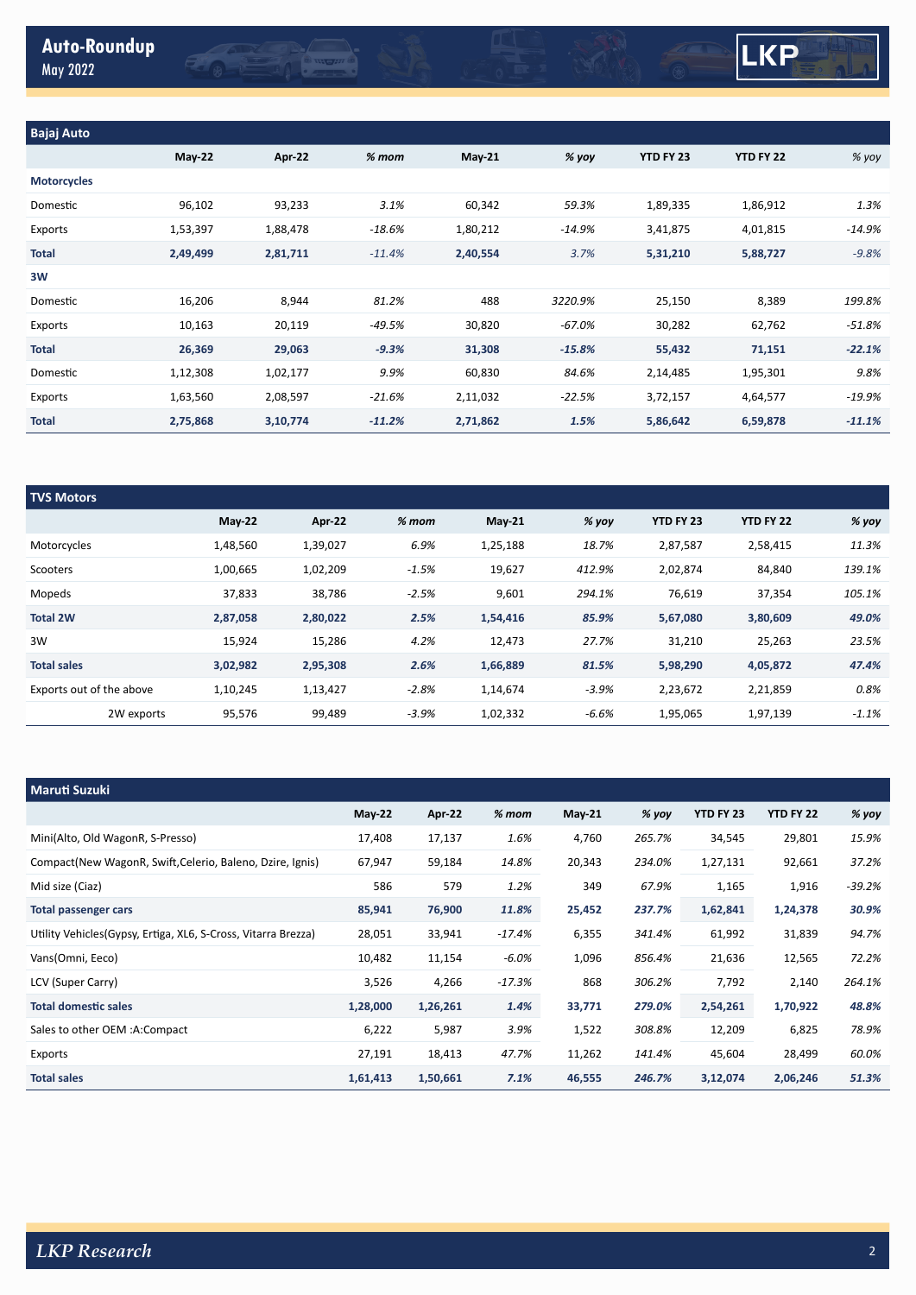

| <b>TVS Motors</b>        |          |          |         |           |         |                  |           |         |
|--------------------------|----------|----------|---------|-----------|---------|------------------|-----------|---------|
|                          | $May-22$ | Apr-22   | $%$ mom | $M$ ay-21 | % yoy   | <b>YTD FY 23</b> | YTD FY 22 | $%$ yoy |
| Motorcycles              | 1,48,560 | 1,39,027 | 6.9%    | 1,25,188  | 18.7%   | 2,87,587         | 2,58,415  | 11.3%   |
| Scooters                 | 1,00,665 | 1,02,209 | $-1.5%$ | 19,627    | 412.9%  | 2,02,874         | 84,840    | 139.1%  |
| Mopeds                   | 37,833   | 38,786   | $-2.5%$ | 9,601     | 294.1%  | 76,619           | 37,354    | 105.1%  |
| <b>Total 2W</b>          | 2,87,058 | 2,80,022 | 2.5%    | 1,54,416  | 85.9%   | 5,67,080         | 3,80,609  | 49.0%   |
| 3W                       | 15,924   | 15,286   | 4.2%    | 12,473    | 27.7%   | 31,210           | 25,263    | 23.5%   |
| <b>Total sales</b>       | 3,02,982 | 2,95,308 | 2.6%    | 1,66,889  | 81.5%   | 5,98,290         | 4,05,872  | 47.4%   |
| Exports out of the above | 1,10,245 | 1,13,427 | $-2.8%$ | 1,14,674  | $-3.9%$ | 2,23,672         | 2,21,859  | 0.8%    |
| 2W exports               | 95,576   | 99,489   | $-3.9%$ | 1,02,332  | $-6.6%$ | 1,95,065         | 1,97,139  | $-1.1%$ |

| <b>Maruti Suzuki</b>                                           |          |          |          |        |         |           |           |          |
|----------------------------------------------------------------|----------|----------|----------|--------|---------|-----------|-----------|----------|
|                                                                | May 22   | Apr-22   | $%m$ om  | May-21 | $%$ yoy | YTD FY 23 | YTD FY 22 | % yoy    |
| Mini(Alto, Old WagonR, S-Presso)                               | 17,408   | 17,137   | 1.6%     | 4,760  | 265.7%  | 34,545    | 29,801    | 15.9%    |
| Compact(New WagonR, Swift, Celerio, Baleno, Dzire, Ignis)      | 67,947   | 59,184   | 14.8%    | 20,343 | 234.0%  | 1,27,131  | 92,661    | 37.2%    |
| Mid size (Ciaz)                                                | 586      | 579      | 1.2%     | 349    | 67.9%   | 1,165     | 1,916     | $-39.2%$ |
| <b>Total passenger cars</b>                                    | 85,941   | 76,900   | 11.8%    | 25,452 | 237.7%  | 1,62,841  | 1,24,378  | 30.9%    |
| Utility Vehicles (Gypsy, Ertiga, XL6, S-Cross, Vitarra Brezza) | 28,051   | 33,941   | $-17.4%$ | 6,355  | 341.4%  | 61,992    | 31,839    | 94.7%    |
| Vans(Omni, Eeco)                                               | 10,482   | 11,154   | $-6.0%$  | 1,096  | 856.4%  | 21,636    | 12,565    | 72.2%    |
| LCV (Super Carry)                                              | 3,526    | 4,266    | -17.3%   | 868    | 306.2%  | 7,792     | 2,140     | 264.1%   |
| <b>Total domestic sales</b>                                    | 1,28,000 | 1,26,261 | 1.4%     | 33,771 | 279.0%  | 2,54,261  | 1,70,922  | 48.8%    |
| Sales to other OEM :A:Compact                                  | 6,222    | 5,987    | 3.9%     | 1,522  | 308.8%  | 12,209    | 6,825     | 78.9%    |
| Exports                                                        | 27,191   | 18,413   | 47.7%    | 11,262 | 141.4%  | 45,604    | 28,499    | 60.0%    |
| <b>Total sales</b>                                             | 1,61,413 | 1,50,661 | 7.1%     | 46,555 | 246.7%  | 3,12,074  | 2,06,246  | 51.3%    |

LKP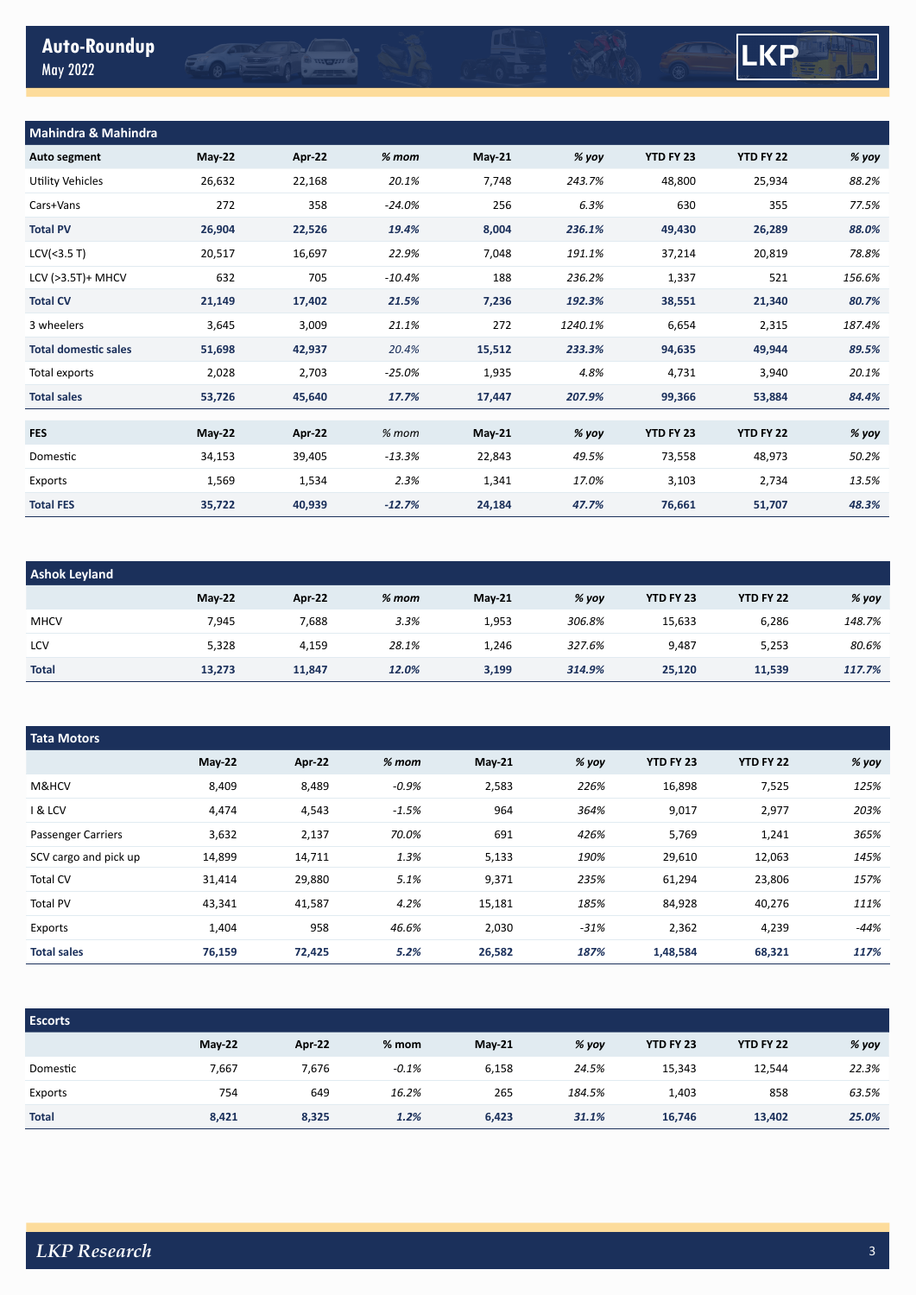EQT



| Mahindra & Mahindra         |          |        |           |          |         |           |           |        |  |
|-----------------------------|----------|--------|-----------|----------|---------|-----------|-----------|--------|--|
| Auto segment                | $May-22$ | Apr 22 | $% mom$   | $May-21$ | % yoy   | YTD FY 23 | YTD FY 22 | % yoy  |  |
| Utility Vehicles            | 26,632   | 22,168 | 20.1%     | 7,748    | 243.7%  | 48,800    | 25,934    | 88.2%  |  |
| Cars+Vans                   | 272      | 358    | $-24.0%$  | 256      | 6.3%    | 630       | 355       | 77.5%  |  |
| <b>Total PV</b>             | 26,904   | 22,526 | 19.4%     | 8,004    | 236.1%  | 49,430    | 26,289    | 88.0%  |  |
| LCV(<3.5 T)                 | 20,517   | 16,697 | 22.9%     | 7,048    | 191.1%  | 37,214    | 20,819    | 78.8%  |  |
| LCV (>3.5T)+ MHCV           | 632      | 705    | $-10.4\%$ | 188      | 236.2%  | 1,337     | 521       | 156.6% |  |
| <b>Total CV</b>             | 21,149   | 17,402 | 21.5%     | 7,236    | 192.3%  | 38,551    | 21,340    | 80.7%  |  |
| 3 wheelers                  | 3,645    | 3,009  | 21.1%     | 272      | 1240.1% | 6,654     | 2,315     | 187.4% |  |
| <b>Total domestic sales</b> | 51,698   | 42,937 | 20.4%     | 15,512   | 233.3%  | 94,635    | 49,944    | 89.5%  |  |
| Total exports               | 2,028    | 2,703  | $-25.0%$  | 1,935    | 4.8%    | 4,731     | 3,940     | 20.1%  |  |
| <b>Total sales</b>          | 53,726   | 45,640 | 17.7%     | 17,447   | 207.9%  | 99,366    | 53,884    | 84.4%  |  |
|                             |          |        |           |          |         |           |           |        |  |
| <b>FES</b>                  | $May-22$ | Apr-22 | $%$ mom   | May-21   | % yoy   | YTD FY 23 | YTD FY 22 | % yoy  |  |
| Domestic                    | 34,153   | 39,405 | $-13.3%$  | 22,843   | 49.5%   | 73,558    | 48,973    | 50.2%  |  |
| Exports                     | 1,569    | 1,534  | 2.3%      | 1,341    | 17.0%   | 3,103     | 2,734     | 13.5%  |  |
| <b>Total FES</b>            | 35,722   | 40,939 | $-12.7%$  | 24,184   | 47.7%   | 76,661    | 51,707    | 48.3%  |  |

**COMPANY** 

| <b>Ashok Leyland</b> |               |        |         |               |        |           |           |        |  |
|----------------------|---------------|--------|---------|---------------|--------|-----------|-----------|--------|--|
|                      | <b>May-22</b> | Apr-22 | $%$ mom | <b>May-21</b> | % yoy  | YTD FY 23 | YTD FY 22 | % yoy  |  |
| <b>MHCV</b>          | 7,945         | 7,688  | 3.3%    | 1,953         | 306.8% | 15,633    | 6,286     | 148.7% |  |
| LCV                  | 5,328         | 4,159  | 28.1%   | 1,246         | 327.6% | 9,487     | 5,253     | 80.6%  |  |
| <b>Total</b>         | 13,273        | 11,847 | 12.0%   | 3,199         | 314.9% | 25,120    | 11,539    | 117.7% |  |

| <b>Tata Motors</b>        |          |        |         |          |        |           |                  |        |  |  |
|---------------------------|----------|--------|---------|----------|--------|-----------|------------------|--------|--|--|
|                           | $May-22$ | Apr-22 | $%$ mom | $May-21$ | % yoy  | YTD FY 23 | <b>YTD FY 22</b> | % yoy  |  |  |
| M&HCV                     | 8,409    | 8,489  | $-0.9%$ | 2,583    | 226%   | 16,898    | 7,525            | 125%   |  |  |
| <b>1 &amp; LCV</b>        | 4,474    | 4,543  | $-1.5%$ | 964      | 364%   | 9,017     | 2,977            | 203%   |  |  |
| <b>Passenger Carriers</b> | 3,632    | 2,137  | 70.0%   | 691      | 426%   | 5,769     | 1,241            | 365%   |  |  |
| SCV cargo and pick up     | 14,899   | 14,711 | 1.3%    | 5,133    | 190%   | 29,610    | 12,063           | 145%   |  |  |
| Total CV                  | 31,414   | 29,880 | 5.1%    | 9,371    | 235%   | 61,294    | 23,806           | 157%   |  |  |
| <b>Total PV</b>           | 43,341   | 41,587 | 4.2%    | 15,181   | 185%   | 84,928    | 40,276           | 111%   |  |  |
| Exports                   | 1,404    | 958    | 46.6%   | 2,030    | $-31%$ | 2,362     | 4,239            | $-44%$ |  |  |
| <b>Total sales</b>        | 76,159   | 72,425 | 5.2%    | 26,582   | 187%   | 1,48,584  | 68,321           | 117%   |  |  |

| <b>Escorts</b> |        |        |         |          |        |           |                  |       |
|----------------|--------|--------|---------|----------|--------|-----------|------------------|-------|
|                | May-22 | Apr 22 | $%$ mom | $May-21$ | % yoy  | YTD FY 23 | <b>YTD FY 22</b> | % yoy |
| Domestic       | 7,667  | 7,676  | $-0.1%$ | 6,158    | 24.5%  | 15,343    | 12,544           | 22.3% |
| Exports        | 754    | 649    | 16.2%   | 265      | 184.5% | 1,403     | 858              | 63.5% |
| <b>Total</b>   | 8,421  | 8,325  | 1.2%    | 6,423    | 31.1%  | 16,746    | 13,402           | 25.0% |